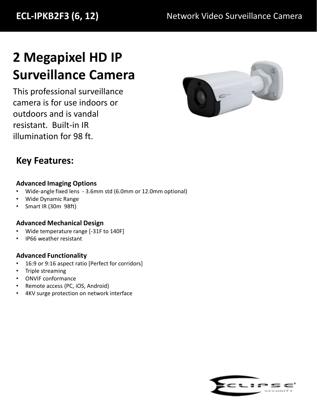# **2 Megapixel HD IP Surveillance Camera**

This professional surveillance camera is for use indoors or outdoors and is vandal resistant. Built-in IR illumination for 98 ft.



## **Key Features:**

### **Advanced Imaging Options**

- Wide-angle fixed lens 3.6mm std (6.0mm or 12.0mm optional)
- Wide Dynamic Range
- Smart IR (30m 98ft)

### **Advanced Mechanical Design**

- Wide temperature range [-31F to 140F]
- IP66 weather resistant

### **Advanced Functionality**

- 16:9 or 9:16 aspect ratio [Perfect for corridors]
- Triple streaming
- ONVIF conformance
- Remote access (PC, iOS, Android)
- 4KV surge protection on network interface